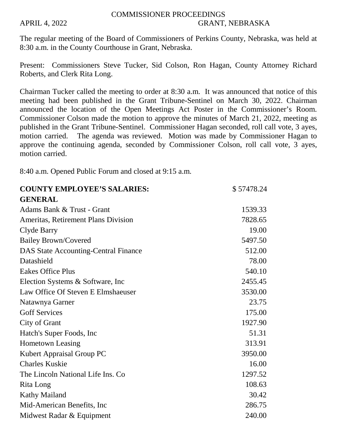## COMMISSIONER PROCEEDINGS APRIL 4, 2022 GRANT, NEBRASKA

The regular meeting of the Board of Commissioners of Perkins County, Nebraska, was held at 8:30 a.m. in the County Courthouse in Grant, Nebraska.

Present: Commissioners Steve Tucker, Sid Colson, Ron Hagan, County Attorney Richard Roberts, and Clerk Rita Long.

Chairman Tucker called the meeting to order at 8:30 a.m. It was announced that notice of this meeting had been published in the Grant Tribune-Sentinel on March 30, 2022. Chairman announced the location of the Open Meetings Act Poster in the Commissioner's Room. Commissioner Colson made the motion to approve the minutes of March 21, 2022, meeting as published in the Grant Tribune-Sentinel. Commissioner Hagan seconded, roll call vote, 3 ayes, motion carried. The agenda was reviewed. Motion was made by Commissioner Hagan to approve the continuing agenda, seconded by Commissioner Colson, roll call vote, 3 ayes, motion carried.

8:40 a.m. Opened Public Forum and closed at 9:15 a.m.

| <b>COUNTY EMPLOYEE'S SALARIES:</b>          | \$57478.24 |
|---------------------------------------------|------------|
| <b>GENERAL</b>                              |            |
| Adams Bank & Trust - Grant                  | 1539.33    |
| <b>Ameritas, Retirement Plans Division</b>  | 7828.65    |
| Clyde Barry                                 | 19.00      |
| <b>Bailey Brown/Covered</b>                 | 5497.50    |
| <b>DAS State Accounting-Central Finance</b> | 512.00     |
| Datashield                                  | 78.00      |
| <b>Eakes Office Plus</b>                    | 540.10     |
| Election Systems & Software, Inc.           | 2455.45    |
| Law Office Of Steven E Elmshaeuser          | 3530.00    |
| Natawnya Garner                             | 23.75      |
| <b>Goff Services</b>                        | 175.00     |
| City of Grant                               | 1927.90    |
| Hatch's Super Foods, Inc.                   | 51.31      |
| <b>Hometown Leasing</b>                     | 313.91     |
| Kubert Appraisal Group PC                   | 3950.00    |
| <b>Charles Kuskie</b>                       | 16.00      |
| The Lincoln National Life Ins. Co           | 1297.52    |
| Rita Long                                   | 108.63     |
| <b>Kathy Mailand</b>                        | 30.42      |
| Mid-American Benefits, Inc.                 | 286.75     |
| Midwest Radar & Equipment                   | 240.00     |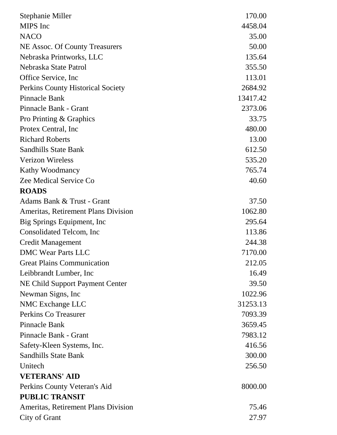| Stephanie Miller                           | 170.00   |
|--------------------------------------------|----------|
| MIPS Inc                                   | 4458.04  |
| <b>NACO</b>                                | 35.00    |
| NE Assoc. Of County Treasurers             | 50.00    |
| Nebraska Printworks, LLC                   | 135.64   |
| Nebraska State Patrol                      | 355.50   |
| Office Service, Inc.                       | 113.01   |
| Perkins County Historical Society          | 2684.92  |
| Pinnacle Bank                              | 13417.42 |
| Pinnacle Bank - Grant                      | 2373.06  |
| Pro Printing & Graphics                    | 33.75    |
| Protex Central, Inc.                       | 480.00   |
| <b>Richard Roberts</b>                     | 13.00    |
| <b>Sandhills State Bank</b>                | 612.50   |
| <b>Verizon Wireless</b>                    | 535.20   |
| <b>Kathy Woodmancy</b>                     | 765.74   |
| Zee Medical Service Co                     | 40.60    |
| <b>ROADS</b>                               |          |
| Adams Bank & Trust - Grant                 | 37.50    |
| Ameritas, Retirement Plans Division        | 1062.80  |
| Big Springs Equipment, Inc.                | 295.64   |
| Consolidated Telcom, Inc.                  | 113.86   |
| <b>Credit Management</b>                   | 244.38   |
| <b>DMC Wear Parts LLC</b>                  | 7170.00  |
| <b>Great Plains Communication</b>          | 212.05   |
| Leibbrandt Lumber, Inc.                    | 16.49    |
| NE Child Support Payment Center            | 39.50    |
| Newman Signs, Inc.                         | 1022.96  |
| NMC Exchange LLC                           | 31253.13 |
| <b>Perkins Co Treasurer</b>                | 7093.39  |
| <b>Pinnacle Bank</b>                       | 3659.45  |
| Pinnacle Bank - Grant                      | 7983.12  |
| Safety-Kleen Systems, Inc.                 | 416.56   |
| <b>Sandhills State Bank</b>                | 300.00   |
| Unitech                                    | 256.50   |
| <b>VETERANS' AID</b>                       |          |
| Perkins County Veteran's Aid               | 8000.00  |
| <b>PUBLIC TRANSIT</b>                      |          |
| <b>Ameritas, Retirement Plans Division</b> | 75.46    |
| City of Grant                              | 27.97    |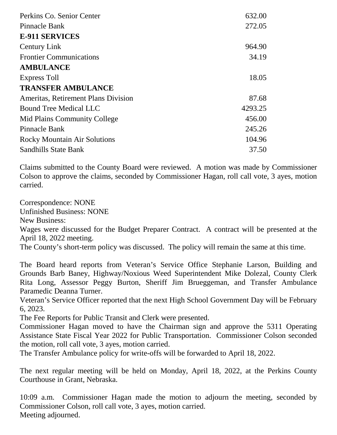| Perkins Co. Senior Center           | 632.00  |
|-------------------------------------|---------|
| Pinnacle Bank                       | 272.05  |
| <b>E-911 SERVICES</b>               |         |
| <b>Century Link</b>                 | 964.90  |
| <b>Frontier Communications</b>      | 34.19   |
| <b>AMBULANCE</b>                    |         |
| Express Toll                        | 18.05   |
| <b>TRANSFER AMBULANCE</b>           |         |
| Ameritas, Retirement Plans Division | 87.68   |
| <b>Bound Tree Medical LLC</b>       | 4293.25 |
| Mid Plains Community College        | 456.00  |
| <b>Pinnacle Bank</b>                | 245.26  |
| <b>Rocky Mountain Air Solutions</b> | 104.96  |
| <b>Sandhills State Bank</b>         | 37.50   |

Claims submitted to the County Board were reviewed. A motion was made by Commissioner Colson to approve the claims, seconded by Commissioner Hagan, roll call vote, 3 ayes, motion carried.

Correspondence: NONE

Unfinished Business: NONE

New Business:

Wages were discussed for the Budget Preparer Contract. A contract will be presented at the April 18, 2022 meeting.

The County's short-term policy was discussed. The policy will remain the same at this time.

The Board heard reports from Veteran's Service Office Stephanie Larson, Building and Grounds Barb Baney, Highway/Noxious Weed Superintendent Mike Dolezal, County Clerk Rita Long, Assessor Peggy Burton, Sheriff Jim Brueggeman, and Transfer Ambulance Paramedic Deanna Turner.

Veteran's Service Officer reported that the next High School Government Day will be February 6, 2023.

The Fee Reports for Public Transit and Clerk were presented.

Commissioner Hagan moved to have the Chairman sign and approve the 5311 Operating Assistance State Fiscal Year 2022 for Public Transportation. Commissioner Colson seconded the motion, roll call vote, 3 ayes, motion carried.

The Transfer Ambulance policy for write-offs will be forwarded to April 18, 2022.

The next regular meeting will be held on Monday, April 18, 2022, at the Perkins County Courthouse in Grant, Nebraska.

10:09 a.m. Commissioner Hagan made the motion to adjourn the meeting, seconded by Commissioner Colson, roll call vote, 3 ayes, motion carried. Meeting adjourned.